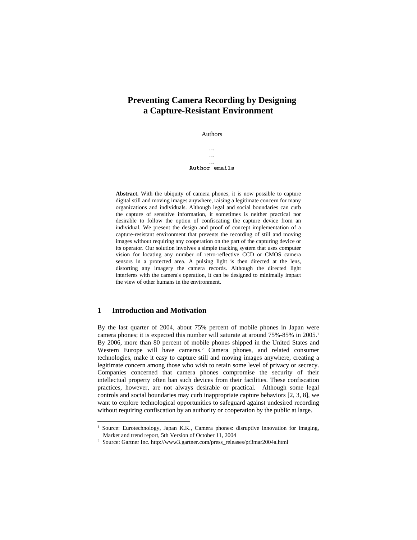# **Preventing Camera Recording by Designing a Capture-Resistant Environment**

Authors

…

… … **Author emails** 

**Abstract.** With the ubiquity of camera phones, it is now possible to capture digital still and moving images anywhere, raising a legitimate concern for many organizations and individuals. Although legal and social boundaries can curb the capture of sensitive information, it sometimes is neither practical nor desirable to follow the option of confiscating the capture device from an individual. We present the design and proof of concept implementation of a capture-resistant environment that prevents the recording of still and moving images without requiring any cooperation on the part of the capturing device or its operator. Our solution involves a simple tracking system that uses computer vision for locating any number of retro-reflective CCD or CMOS camera sensors in a protected area. A pulsing light is then directed at the lens, distorting any imagery the camera records. Although the directed light interferes with the camera's operation, it can be designed to minimally impact the view of other humans in the environment.

## **1 Introduction and Motivation**

 $\overline{a}$ 

By the last quarter of 2004, about 75% percent of mobile phones in Japan were camera phones; it is expected this number will saturate at around  $75\% - 85\%$  in 2005.<sup>1</sup> By 2006, more than 80 percent of mobile phones shipped in the United States and Western Europe will have cameras.2 Camera phones, and related consumer technologies, make it easy to capture still and moving images anywhere, creating a legitimate concern among those who wish to retain some level of privacy or secrecy. Companies concerned that camera phones compromise the security of their intellectual property often ban such devices from their facilities. These confiscation practices, however, are not always desirable or practical. Although some legal controls and social boundaries may curb inappropriate capture behaviors [2, 3, 8], we want to explore technological opportunities to safeguard against undesired recording without requiring confiscation by an authority or cooperation by the public at large.

<sup>&</sup>lt;sup>1</sup> Source: Eurotechnology, Japan K.K., Camera phones: disruptive innovation for imaging, Market and trend report, 5th Version of October 11, 2004<br>
<sup>2</sup> Source: Gartner Inc. http://www3.gartner.com/press\_releases/pr3mar2004a.html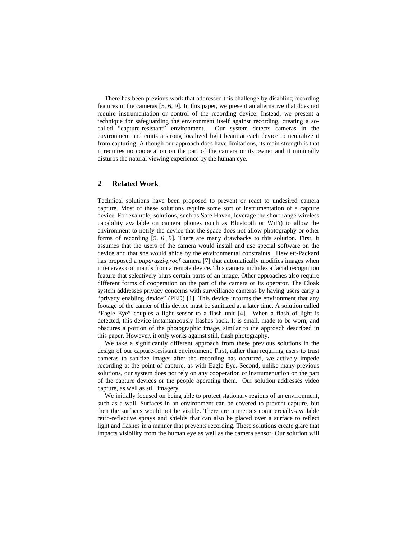There has been previous work that addressed this challenge by disabling recording features in the cameras [5, 6, 9]. In this paper, we present an alternative that does not require instrumentation or control of the recording device. Instead, we present a technique for safeguarding the environment itself against recording, creating a socalled "capture-resistant" environment. Our system detects cameras in the environment and emits a strong localized light beam at each device to neutralize it from capturing. Although our approach does have limitations, its main strength is that it requires no cooperation on the part of the camera or its owner and it minimally disturbs the natural viewing experience by the human eye.

# **2 Related Work**

Technical solutions have been proposed to prevent or react to undesired camera capture. Most of these solutions require some sort of instrumentation of a capture device. For example, solutions, such as Safe Haven, leverage the short-range wireless capability available on camera phones (such as Bluetooth or WiFi) to allow the environment to notify the device that the space does not allow photography or other forms of recording [5, 6, 9]. There are many drawbacks to this solution. First, it assumes that the users of the camera would install and use special software on the device and that she would abide by the environmental constraints. Hewlett-Packard has proposed a *paparazzi-proof* camera [7] that automatically modifies images when it receives commands from a remote device. This camera includes a facial recognition feature that selectively blurs certain parts of an image. Other approaches also require different forms of cooperation on the part of the camera or its operator. The Cloak system addresses privacy concerns with surveillance cameras by having users carry a "privacy enabling device" (PED) [1]. This device informs the environment that any footage of the carrier of this device must be sanitized at a later time. A solution called "Eagle Eye" couples a light sensor to a flash unit [4]. When a flash of light is detected, this device instantaneously flashes back. It is small, made to be worn, and obscures a portion of the photographic image, similar to the approach described in this paper. However, it only works against still, flash photography.

We take a significantly different approach from these previous solutions in the design of our capture-resistant environment. First, rather than requiring users to trust cameras to sanitize images after the recording has occurred, we actively impede recording at the point of capture, as with Eagle Eye. Second, unlike many previous solutions, our system does not rely on any cooperation or instrumentation on the part of the capture devices or the people operating them. Our solution addresses video capture, as well as still imagery.

We initially focused on being able to protect stationary regions of an environment, such as a wall. Surfaces in an environment can be covered to prevent capture, but then the surfaces would not be visible. There are numerous commercially-available retro-reflective sprays and shields that can also be placed over a surface to reflect light and flashes in a manner that prevents recording. These solutions create glare that impacts visibility from the human eye as well as the camera sensor. Our solution will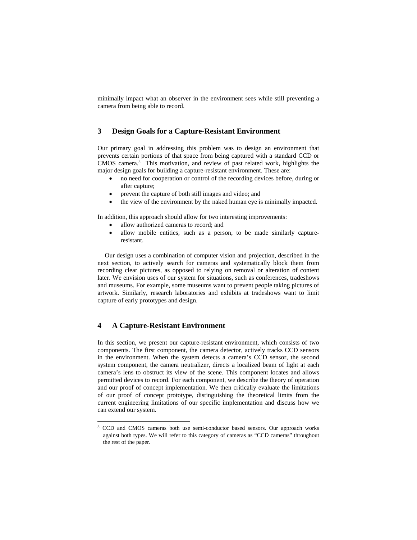minimally impact what an observer in the environment sees while still preventing a camera from being able to record.

# **3 Design Goals for a Capture-Resistant Environment**

Our primary goal in addressing this problem was to design an environment that prevents certain portions of that space from being captured with a standard CCD or CMOS camera.3 This motivation, and review of past related work, highlights the major design goals for building a capture-resistant environment. These are:

- no need for cooperation or control of the recording devices before, during or after capture;
- prevent the capture of both still images and video; and
- the view of the environment by the naked human eye is minimally impacted.

In addition, this approach should allow for two interesting improvements:

- allow authorized cameras to record; and
- allow mobile entities, such as a person, to be made similarly captureresistant.

Our design uses a combination of computer vision and projection, described in the next section, to actively search for cameras and systematically block them from recording clear pictures, as opposed to relying on removal or alteration of content later. We envision uses of our system for situations, such as conferences, tradeshows and museums. For example, some museums want to prevent people taking pictures of artwork. Similarly, research laboratories and exhibits at tradeshows want to limit capture of early prototypes and design.

# **4 A Capture-Resistant Environment**

 $\overline{a}$ 

In this section, we present our capture-resistant environment, which consists of two components. The first component, the camera detector, actively tracks CCD sensors in the environment. When the system detects a camera's CCD sensor, the second system component, the camera neutralizer, directs a localized beam of light at each camera's lens to obstruct its view of the scene. This component locates and allows permitted devices to record. For each component, we describe the theory of operation and our proof of concept implementation. We then critically evaluate the limitations of our proof of concept prototype, distinguishing the theoretical limits from the current engineering limitations of our specific implementation and discuss how we can extend our system.

<sup>&</sup>lt;sup>3</sup> CCD and CMOS cameras both use semi-conductor based sensors. Our approach works against both types. We will refer to this category of cameras as "CCD cameras" throughout the rest of the paper.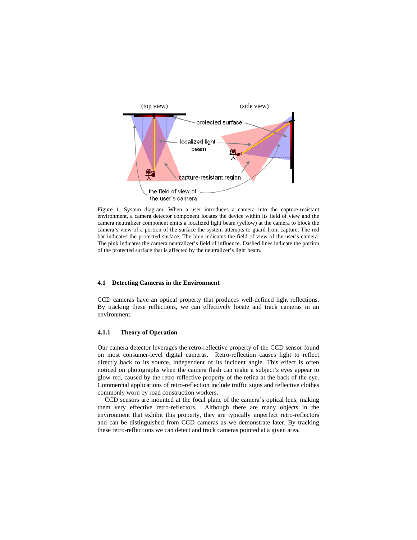

Figure 1. System diagram. When a user introduces a camera into the capture-resistant environment, a camera detector component locates the device within its field of view and the camera neutralizer component emits a localized light beam (yellow) at the camera to block the camera's view of a portion of the surface the system attempts to guard from capture. The red bar indicates the protected surface. The blue indicates the field of view of the user's camera. The pink indicates the camera neutralizer's field of influence. Dashed lines indicate the portion of the protected surface that is affected by the neutralizer's light beam.

## **4.1 Detecting Cameras in the Environment**

CCD cameras have an optical property that produces well-defined light reflections. By tracking these reflections, we can effectively locate and track cameras in an environment.

## **4.1.1 Theory of Operation**

Our camera detector leverages the retro-reflective property of the CCD sensor found on most consumer-level digital cameras. Retro-reflection causes light to reflect directly back to its source, independent of its incident angle. This effect is often noticed on photographs when the camera flash can make a subject's eyes appear to glow red, caused by the retro-reflective property of the retina at the back of the eye. Commercial applications of retro-reflection include traffic signs and reflective clothes commonly worn by road construction workers.

CCD sensors are mounted at the focal plane of the camera's optical lens, making them very effective retro-reflectors. Although there are many objects in the environment that exhibit this property, they are typically imperfect retro-reflectors and can be distinguished from CCD cameras as we demonstrate later. By tracking these retro-reflections we can detect and track cameras pointed at a given area.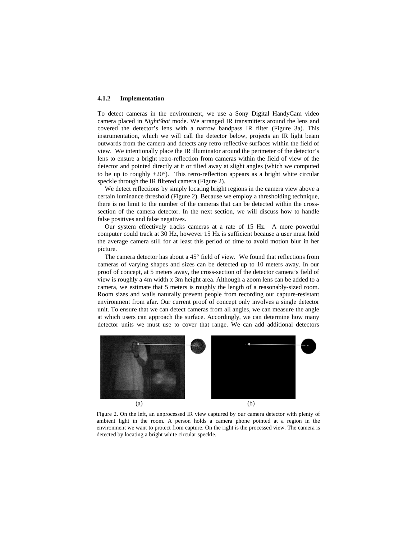#### **4.1.2 Implementation**

To detect cameras in the environment, we use a Sony Digital HandyCam video camera placed in *NightShot* mode. We arranged IR transmitters around the lens and covered the detector's lens with a narrow bandpass IR filter (Figure 3a). This instrumentation, which we will call the detector below, projects an IR light beam outwards from the camera and detects any retro-reflective surfaces within the field of view. We intentionally place the IR illuminator around the perimeter of the detector's lens to ensure a bright retro-reflection from cameras within the field of view of the detector and pointed directly at it or tilted away at slight angles (which we computed to be up to roughly  $\pm 20^{\circ}$ ). This retro-reflection appears as a bright white circular speckle through the IR filtered camera (Figure 2).

We detect reflections by simply locating bright regions in the camera view above a certain luminance threshold (Figure 2). Because we employ a thresholding technique, there is no limit to the number of the cameras that can be detected within the crosssection of the camera detector. In the next section, we will discuss how to handle false positives and false negatives.

Our system effectively tracks cameras at a rate of 15 Hz. A more powerful computer could track at 30 Hz, however 15 Hz is sufficient because a user must hold the average camera still for at least this period of time to avoid motion blur in her picture.

The camera detector has about a 45° field of view. We found that reflections from cameras of varying shapes and sizes can be detected up to 10 meters away. In our proof of concept, at 5 meters away, the cross-section of the detector camera's field of view is roughly a 4m width x 3m height area. Although a zoom lens can be added to a camera, we estimate that 5 meters is roughly the length of a reasonably-sized room. Room sizes and walls naturally prevent people from recording our capture-resistant environment from afar. Our current proof of concept only involves a single detector unit. To ensure that we can detect cameras from all angles, we can measure the angle at which users can approach the surface. Accordingly, we can determine how many detector units we must use to cover that range. We can add additional detectors



Figure 2. On the left, an unprocessed IR view captured by our camera detector with plenty of ambient light in the room. A person holds a camera phone pointed at a region in the environment we want to protect from capture. On the right is the processed view. The camera is detected by locating a bright white circular speckle.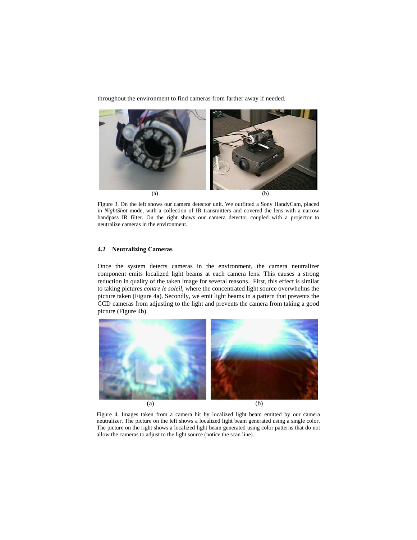throughout the environment to find cameras from farther away if needed.



Figure 3. On the left shows our camera detector unit. We outfitted a Sony HandyCam, placed in *NightShot* mode, with a collection of IR transmitters and covered the lens with a narrow bandpass IR filter. On the right shows our camera detector coupled with a projector to neutralize cameras in the environment.

### **4.2 Neutralizing Cameras**

Once the system detects cameras in the environment, the camera neutralizer component emits localized light beams at each camera lens. This causes a strong reduction in quality of the taken image for several reasons. First, this effect is similar to taking pictures *contre le soleil*, where the concentrated light source overwhelms the picture taken (Figure 4a). Secondly, we emit light beams in a pattern that prevents the CCD cameras from adjusting to the light and prevents the camera from taking a good picture (Figure 4b).



Figure 4. Images taken from a camera hit by localized light beam emitted by our camera neutralizer. The picture on the left shows a localized light beam generated using a single color. The picture on the right shows a localized light beam generated using color patterns that do not allow the cameras to adjust to the light source (notice the scan line).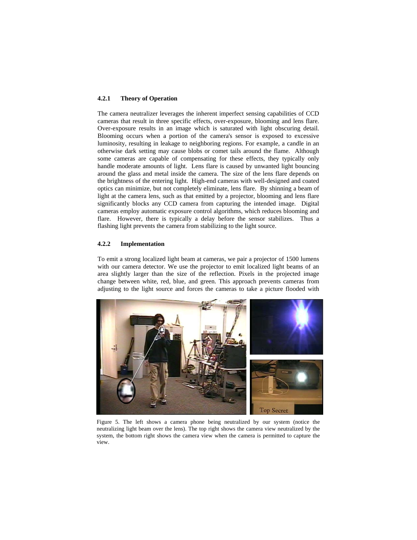### **4.2.1 Theory of Operation**

The camera neutralizer leverages the inherent imperfect sensing capabilities of CCD cameras that result in three specific effects, over-exposure, blooming and lens flare. Over-exposure results in an image which is saturated with light obscuring detail. Blooming occurs when a portion of the camera's sensor is exposed to excessive luminosity, resulting in leakage to neighboring regions. For example, a candle in an otherwise dark setting may cause blobs or comet tails around the flame. Although some cameras are capable of compensating for these effects, they typically only handle moderate amounts of light. Lens flare is caused by unwanted light bouncing around the glass and metal inside the camera. The size of the lens flare depends on the brightness of the entering light. High-end cameras with well-designed and coated optics can minimize, but not completely eliminate, lens flare. By shinning a beam of light at the camera lens, such as that emitted by a projector, blooming and lens flare significantly blocks any CCD camera from capturing the intended image. Digital cameras employ automatic exposure control algorithms, which reduces blooming and flare. However, there is typically a delay before the sensor stabilizes. Thus a flashing light prevents the camera from stabilizing to the light source.

## **4.2.2 Implementation**

To emit a strong localized light beam at cameras, we pair a projector of 1500 lumens with our camera detector. We use the projector to emit localized light beams of an area slightly larger than the size of the reflection. Pixels in the projected image change between white, red, blue, and green. This approach prevents cameras from adjusting to the light source and forces the cameras to take a picture flooded with



Figure 5. The left shows a camera phone being neutralized by our system (notice the neutralizing light beam over the lens). The top right shows the camera view neutralized by the system, the bottom right shows the camera view when the camera is permitted to capture the view.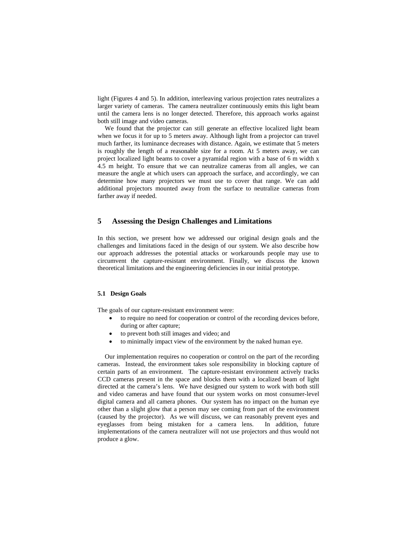light (Figures 4 and 5). In addition, interleaving various projection rates neutralizes a larger variety of cameras. The camera neutralizer continuously emits this light beam until the camera lens is no longer detected. Therefore, this approach works against both still image and video cameras.

We found that the projector can still generate an effective localized light beam when we focus it for up to 5 meters away. Although light from a projector can travel much farther, its luminance decreases with distance. Again, we estimate that 5 meters is roughly the length of a reasonable size for a room. At 5 meters away, we can project localized light beams to cover a pyramidal region with a base of 6 m width x 4.5 m height. To ensure that we can neutralize cameras from all angles, we can measure the angle at which users can approach the surface, and accordingly, we can determine how many projectors we must use to cover that range. We can add additional projectors mounted away from the surface to neutralize cameras from farther away if needed.

# **5 Assessing the Design Challenges and Limitations**

In this section, we present how we addressed our original design goals and the challenges and limitations faced in the design of our system. We also describe how our approach addresses the potential attacks or workarounds people may use to circumvent the capture-resistant environment. Finally, we discuss the known theoretical limitations and the engineering deficiencies in our initial prototype.

### **5.1 Design Goals**

The goals of our capture-resistant environment were:

- to require no need for cooperation or control of the recording devices before, during or after capture;
- to prevent both still images and video; and
- to minimally impact view of the environment by the naked human eye.

Our implementation requires no cooperation or control on the part of the recording cameras. Instead, the environment takes sole responsibility in blocking capture of certain parts of an environment. The capture-resistant environment actively tracks CCD cameras present in the space and blocks them with a localized beam of light directed at the camera's lens. We have designed our system to work with both still and video cameras and have found that our system works on most consumer-level digital camera and all camera phones. Our system has no impact on the human eye other than a slight glow that a person may see coming from part of the environment (caused by the projector). As we will discuss, we can reasonably prevent eyes and eyeglasses from being mistaken for a camera lens. In addition, future implementations of the camera neutralizer will not use projectors and thus would not produce a glow.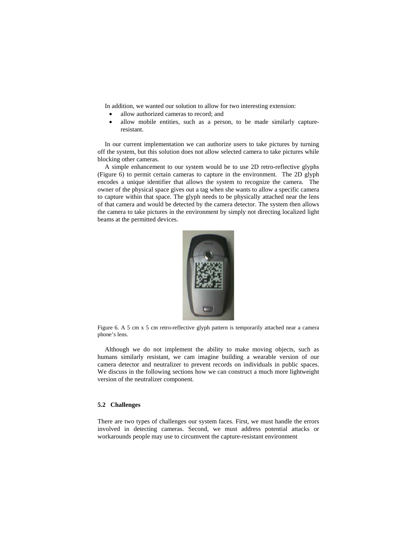In addition, we wanted our solution to allow for two interesting extension:

- allow authorized cameras to record; and
- allow mobile entities, such as a person, to be made similarly captureresistant.

In our current implementation we can authorize users to take pictures by turning off the system, but this solution does not allow selected camera to take pictures while blocking other cameras.

A simple enhancement to our system would be to use 2D retro-reflective glyphs (Figure 6) to permit certain cameras to capture in the environment. The 2D glyph encodes a unique identifier that allows the system to recognize the camera. The owner of the physical space gives out a tag when she wants to allow a specific camera to capture within that space. The glyph needs to be physically attached near the lens of that camera and would be detected by the camera detector. The system then allows the camera to take pictures in the environment by simply not directing localized light beams at the permitted devices.



Figure 6. A 5 cm x 5 cm retro-reflective glyph pattern is temporarily attached near a camera phone's lens.

Although we do not implement the ability to make moving objects, such as humans similarly resistant, we cam imagine building a wearable version of our camera detector and neutralizer to prevent records on individuals in public spaces. We discuss in the following sections how we can construct a much more lightweight version of the neutralizer component.

## **5.2 Challenges**

There are two types of challenges our system faces. First, we must handle the errors involved in detecting cameras. Second, we must address potential attacks or workarounds people may use to circumvent the capture-resistant environment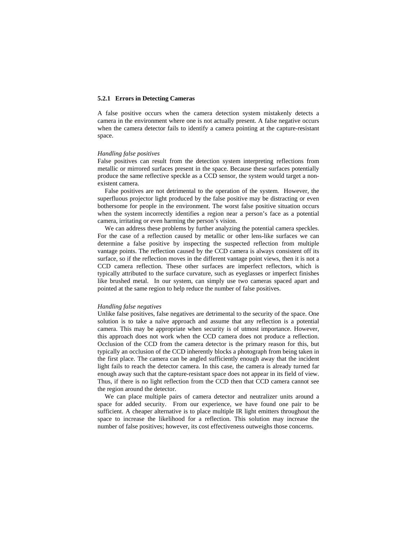#### **5.2.1 Errors in Detecting Cameras**

A false positive occurs when the camera detection system mistakenly detects a camera in the environment where one is not actually present. A false negative occurs when the camera detector fails to identify a camera pointing at the capture-resistant space.

#### *Handling false positives*

False positives can result from the detection system interpreting reflections from metallic or mirrored surfaces present in the space. Because these surfaces potentially produce the same reflective speckle as a CCD sensor, the system would target a nonexistent camera.

False positives are not detrimental to the operation of the system. However, the superfluous projector light produced by the false positive may be distracting or even bothersome for people in the environment. The worst false positive situation occurs when the system incorrectly identifies a region near a person's face as a potential camera, irritating or even harming the person's vision.

We can address these problems by further analyzing the potential camera speckles. For the case of a reflection caused by metallic or other lens-like surfaces we can determine a false positive by inspecting the suspected reflection from multiple vantage points. The reflection caused by the CCD camera is always consistent off its surface, so if the reflection moves in the different vantage point views, then it is not a CCD camera reflection. These other surfaces are imperfect reflectors, which is typically attributed to the surface curvature, such as eyeglasses or imperfect finishes like brushed metal. In our system, can simply use two cameras spaced apart and pointed at the same region to help reduce the number of false positives.

#### *Handling false negatives*

Unlike false positives, false negatives are detrimental to the security of the space. One solution is to take a naïve approach and assume that any reflection is a potential camera. This may be appropriate when security is of utmost importance. However, this approach does not work when the CCD camera does not produce a reflection. Occlusion of the CCD from the camera detector is the primary reason for this, but typically an occlusion of the CCD inherently blocks a photograph from being taken in the first place. The camera can be angled sufficiently enough away that the incident light fails to reach the detector camera. In this case, the camera is already turned far enough away such that the capture-resistant space does not appear in its field of view. Thus, if there is no light reflection from the CCD then that CCD camera cannot see the region around the detector.

We can place multiple pairs of camera detector and neutralizer units around a space for added security. From our experience, we have found one pair to be sufficient. A cheaper alternative is to place multiple IR light emitters throughout the space to increase the likelihood for a reflection. This solution may increase the number of false positives; however, its cost effectiveness outweighs those concerns.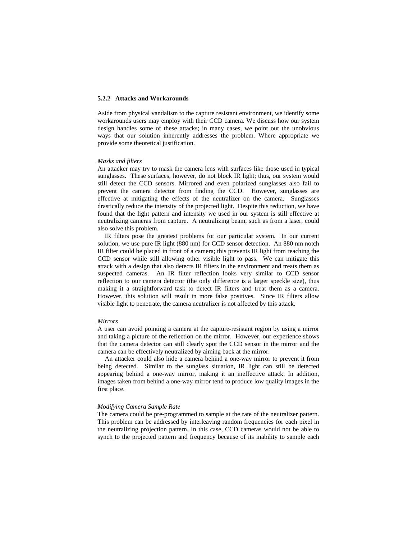### **5.2.2 Attacks and Workarounds**

Aside from physical vandalism to the capture resistant environment, we identify some workarounds users may employ with their CCD camera. We discuss how our system design handles some of these attacks; in many cases, we point out the unobvious ways that our solution inherently addresses the problem. Where appropriate we provide some theoretical justification.

### *Masks and filters*

An attacker may try to mask the camera lens with surfaces like those used in typical sunglasses. These surfaces, however, do not block IR light; thus, our system would still detect the CCD sensors. Mirrored and even polarized sunglasses also fail to prevent the camera detector from finding the CCD. However, sunglasses are effective at mitigating the effects of the neutralizer on the camera. Sunglasses drastically reduce the intensity of the projected light. Despite this reduction, we have found that the light pattern and intensity we used in our system is still effective at neutralizing cameras from capture. A neutralizing beam, such as from a laser, could also solve this problem.

IR filters pose the greatest problems for our particular system. In our current solution, we use pure IR light (880 nm) for CCD sensor detection. An 880 nm notch IR filter could be placed in front of a camera; this prevents IR light from reaching the CCD sensor while still allowing other visible light to pass. We can mitigate this attack with a design that also detects IR filters in the environment and treats them as suspected cameras. An IR filter reflection looks very similar to CCD sensor reflection to our camera detector (the only difference is a larger speckle size), thus making it a straightforward task to detect IR filters and treat them as a camera. However, this solution will result in more false positives. Since IR filters allow visible light to penetrate, the camera neutralizer is not affected by this attack.

#### *Mirrors*

A user can avoid pointing a camera at the capture-resistant region by using a mirror and taking a picture of the reflection on the mirror. However, our experience shows that the camera detector can still clearly spot the CCD sensor in the mirror and the camera can be effectively neutralized by aiming back at the mirror.

An attacker could also hide a camera behind a one-way mirror to prevent it from being detected. Similar to the sunglass situation, IR light can still be detected appearing behind a one-way mirror, making it an ineffective attack. In addition, images taken from behind a one-way mirror tend to produce low quality images in the first place.

## *Modifying Camera Sample Rate*

The camera could be pre-programmed to sample at the rate of the neutralizer pattern. This problem can be addressed by interleaving random frequencies for each pixel in the neutralizing projection pattern. In this case, CCD cameras would not be able to synch to the projected pattern and frequency because of its inability to sample each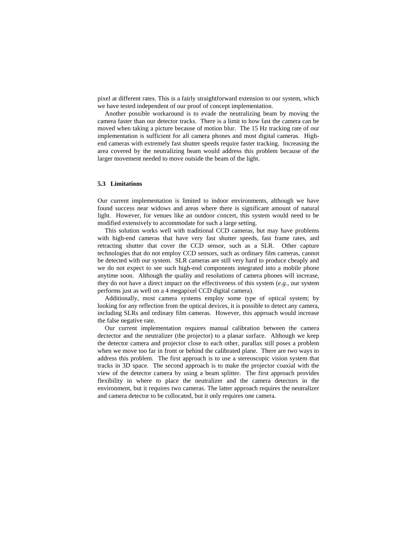pixel at different rates. This is a fairly straightforward extension to our system, which we have tested independent of our proof of concept implementation.

Another possible workaround is to evade the neutralizing beam by moving the camera faster than our detector tracks. There is a limit to how fast the camera can be moved when taking a picture because of motion blur. The 15 Hz tracking rate of our implementation is sufficient for all camera phones and most digital cameras. Highend cameras with extremely fast shutter speeds require faster tracking. Increasing the area covered by the neutralizing beam would address this problem because of the larger movement needed to move outside the beam of the light.

# **5.3 Limitations**

Our current implementation is limited to indoor environments, although we have found success near widows and areas where there is significant amount of natural light. However, for venues like an outdoor concert, this system would need to be modified extensively to accommodate for such a large setting.

This solution works well with traditional CCD cameras, but may have problems with high-end cameras that have very fast shutter speeds, fast frame rates, and retracting shutter that cover the CCD sensor, such as a SLR. Other capture technologies that do not employ CCD sensors, such as ordinary film cameras, cannot be detected with our system. SLR cameras are still very hard to produce cheaply and we do not expect to see such high-end components integrated into a mobile phone anytime soon. Although the quality and resolutions of camera phones will increase, they do not have a direct impact on the effectiveness of this system (*e.g.,* our system performs just as well on a 4 megapixel CCD digital camera).

Additionally, most camera systems employ some type of optical system; by looking for any reflection from the optical devices, it is possible to detect any camera, including SLRs and ordinary film cameras. However, this approach would increase the false negative rate.

Our current implementation requires manual calibration between the camera dectector and the neutralizer (the projector) to a planar surface. Although we keep the detector camera and projector close to each other, parallax still poses a problem when we move too far in front or behind the calibrated plane. There are two ways to address this problem. The first approach is to use a stereoscopic vision system that tracks in 3D space. The second approach is to make the projector coaxial with the view of the detector camera by using a beam splitter. The first approach provides flexibility in where to place the neutralizer and the camera detectors in the environment, but it requires two cameras. The latter approach requires the neutralizer and camera detector to be collocated, but it only requires one camera.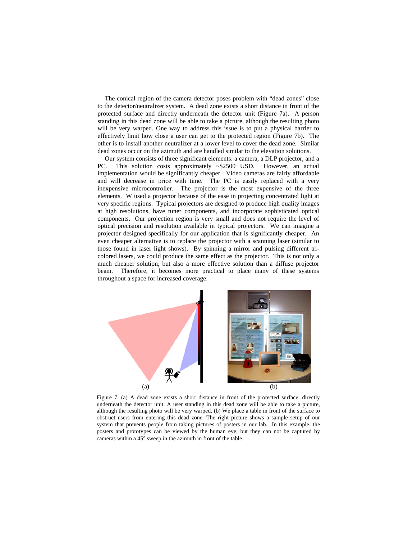The conical region of the camera detector poses problem with "dead zones" close to the detector/neutralizer system. A dead zone exists a short distance in front of the protected surface and directly underneath the detector unit (Figure 7a). A person standing in this dead zone will be able to take a picture, although the resulting photo will be very warped. One way to address this issue is to put a physical barrier to effectively limit how close a user can get to the protected region (Figure 7b). The other is to install another neutralizer at a lower level to cover the dead zone. Similar dead zones occur on the azimuth and are handled similar to the elevation solutions.

Our system consists of three significant elements: a camera, a DLP projector, and a PC. This solution costs approximately ~\$2500 USD. However, an actual implementation would be significantly cheaper. Video cameras are fairly affordable and will decrease in price with time. The PC is easily replaced with a very inexpensive microcontroller. The projector is the most expensive of the three elements. W used a projector because of the ease in projecting concentrated light at very specific regions. Typical projectors are designed to produce high quality images at high resolutions, have tuner components, and incorporate sophisticated optical components. Our projection region is very small and does not require the level of optical precision and resolution available in typical projectors. We can imagine a projector designed specifically for our application that is significantly cheaper. An even cheaper alternative is to replace the projector with a scanning laser (similar to those found in laser light shows). By spinning a mirror and pulsing different tricolored lasers, we could produce the same effect as the projector. This is not only a much cheaper solution, but also a more effective solution than a diffuse projector beam. Therefore, it becomes more practical to place many of these systems throughout a space for increased coverage.



Figure 7. (a) A dead zone exists a short distance in front of the protected surface, directly underneath the detector unit. A user standing in this dead zone will be able to take a picture, although the resulting photo will be very warped. (b) We place a table in front of the surface to obstruct users from entering this dead zone. The right picture shows a sample setup of our system that prevents people from taking pictures of posters in our lab. In this example, the posters and prototypes can be viewed by the human eye, but they can not be captured by cameras within a 45° sweep in the azimuth in front of the table.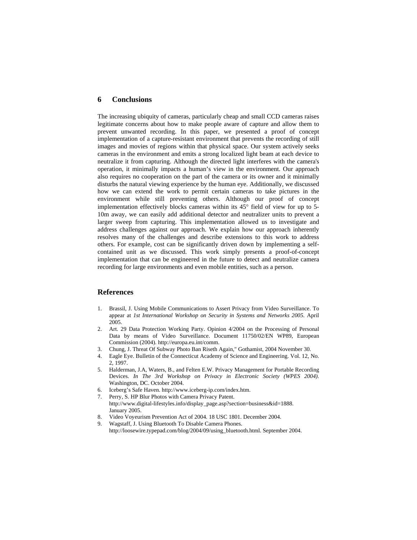# **6 Conclusions**

The increasing ubiquity of cameras, particularly cheap and small CCD cameras raises legitimate concerns about how to make people aware of capture and allow them to prevent unwanted recording. In this paper, we presented a proof of concept implementation of a capture-resistant environment that prevents the recording of still images and movies of regions within that physical space. Our system actively seeks cameras in the environment and emits a strong localized light beam at each device to neutralize it from capturing. Although the directed light interferes with the camera's operation, it minimally impacts a human's view in the environment. Our approach also requires no cooperation on the part of the camera or its owner and it minimally disturbs the natural viewing experience by the human eye. Additionally, we discussed how we can extend the work to permit certain cameras to take pictures in the environment while still preventing others. Although our proof of concept implementation effectively blocks cameras within its 45° field of view for up to 5- 10m away, we can easily add additional detector and neutralizer units to prevent a larger sweep from capturing. This implementation allowed us to investigate and address challenges against our approach. We explain how our approach inherently resolves many of the challenges and describe extensions to this work to address others. For example, cost can be significantly driven down by implementing a selfcontained unit as we discussed. This work simply presents a proof-of-concept implementation that can be engineered in the future to detect and neutralize camera recording for large environments and even mobile entities, such as a person.

# **References**

- 1. Brassil, J. Using Mobile Communications to Assert Privacy from Video Surveillance. To appear at *1st International Workshop on Security in Systems and Networks 2005*. April 2005.
- 2. Art. 29 Data Protection Working Party. Opinion 4/2004 on the Processing of Personal Data by means of Video Surveillance. Document 11750/02/EN WP89, European Commission (2004). http://europa.eu.int/comm.
- 3. Chung, J. Threat Of Subway Photo Ban Riseth Again," Gothamist, 2004 November 30.
- 4. Eagle Eye. Bulletin of the Connecticut Academy of Science and Engineering. Vol. 12, No. 2, 1997.
- 5. Halderman, J.A, Waters, B., and Felten E.W. Privacy Management for Portable Recording Devices. *In The 3rd Workshop on Privacy in Electronic Society (WPES 2004)*. Washington, DC. October 2004.
- 6. Iceberg's Safe Haven. http://www.iceberg-ip.com/index.htm.
- 7. Perry, S. HP Blur Photos with Camera Privacy Patent.
- http://www.digital-lifestyles.info/display\_page.asp?section=business&id=1888. January 2005.
- 8. Video Voyeurism Prevention Act of 2004. 18 USC 1801. December 2004.
- 9. Wagstaff, J. Using Bluetooth To Disable Camera Phones. http://loosewire.typepad.com/blog/2004/09/using\_bluetooth.html. September 2004.